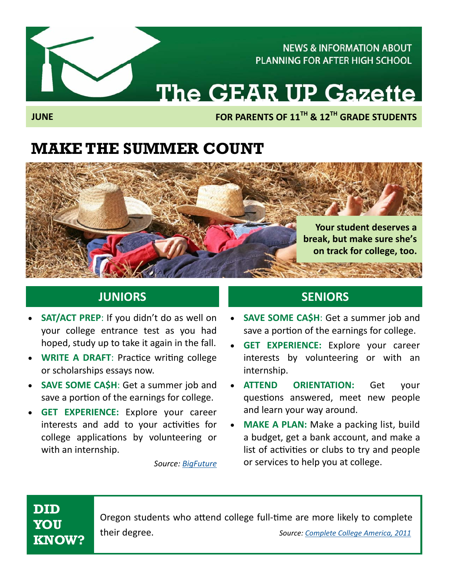**NEWS & INFORMATION ABOUT PLANNING FOR AFTER HIGH SCHOOL** 

# The GEAR UP Gazette

**FOR PARENTS OF 11TH & 12TH GRADE STUDENTS** 

### **MAKE THE SUMMER COUNT**



- **SAT/ACT PREP**: If you didn't do as well on your college entrance test as you had hoped, study up to take it again in the fall.
- **WRITE A DRAFT: Practice writing college** or scholarships essays now.
- **SAVE SOME CA\$H**: Get a summer job and save a portion of the earnings for college.
- **GET EXPERIENCE:** Explore your career interests and add to your activities for college applications by volunteering or with an internship.

*Source: BigFuture*

#### **JUNIORS SENIORS**

- **SAVE SOME CA\$H**: Get a summer job and save a portion of the earnings for college.
- **GET EXPERIENCE:** Explore your career interests by volunteering or with an internship.
- **ATTEND ORIENTATION:** Get your questions answered, meet new people and learn your way around.
- **MAKE A PLAN:** Make a packing list, build a budget, get a bank account, and make a list of activities or clubs to try and people or services to help you at college.

### **DID YOU KNOW?**

Oregon students who attend college full-time are more likely to complete their degree. *Source: Complete College America, 2011* 

**JUNE**